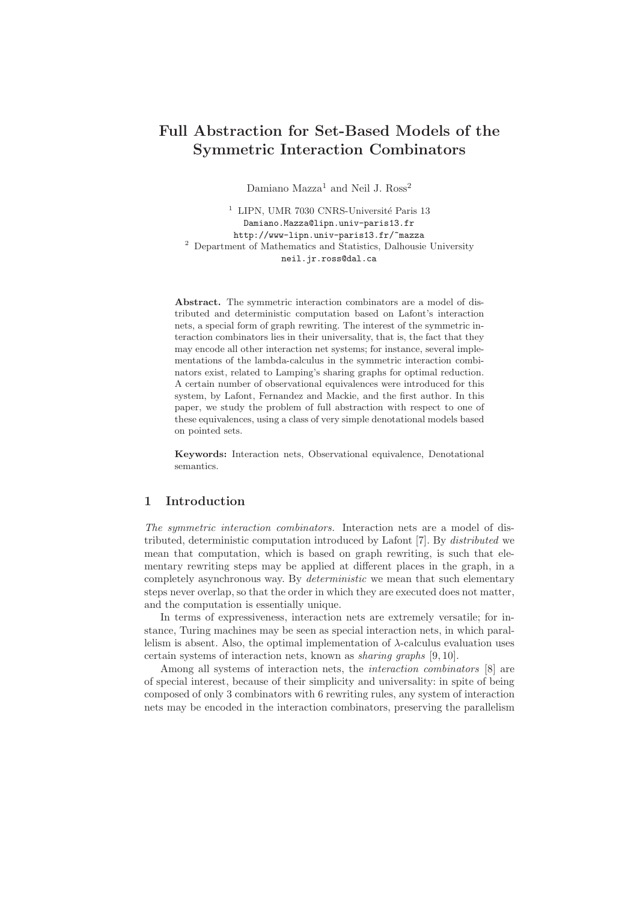# Full Abstraction for Set-Based Models of the Symmetric Interaction Combinators

Damiano Mazza<sup>1</sup> and Neil J. Ross<sup>2</sup>

 $1$  LIPN, UMR 7030 CNRS-Université Paris 13 Damiano.Mazza@lipn.univ-paris13.fr http://www-lipn.univ-paris13.fr/~mazza <sup>2</sup> Department of Mathematics and Statistics, Dalhousie University neil.jr.ross@dal.ca

Abstract. The symmetric interaction combinators are a model of distributed and deterministic computation based on Lafont's interaction nets, a special form of graph rewriting. The interest of the symmetric interaction combinators lies in their universality, that is, the fact that they may encode all other interaction net systems; for instance, several implementations of the lambda-calculus in the symmetric interaction combinators exist, related to Lamping's sharing graphs for optimal reduction. A certain number of observational equivalences were introduced for this system, by Lafont, Fernandez and Mackie, and the first author. In this paper, we study the problem of full abstraction with respect to one of these equivalences, using a class of very simple denotational models based on pointed sets.

Keywords: Interaction nets, Observational equivalence, Denotational semantics.

# 1 Introduction

The symmetric interaction combinators. Interaction nets are a model of distributed, deterministic computation introduced by Lafont [7]. By distributed we mean that computation, which is based on graph rewriting, is such that elementary rewriting steps may be applied at different places in the graph, in a completely asynchronous way. By *deterministic* we mean that such elementary steps never overlap, so that the order in which they are executed does not matter, and the computation is essentially unique.

In terms of expressiveness, interaction nets are extremely versatile; for instance, Turing machines may be seen as special interaction nets, in which parallelism is absent. Also, the optimal implementation of  $\lambda$ -calculus evaluation uses certain systems of interaction nets, known as sharing graphs [9, 10].

Among all systems of interaction nets, the interaction combinators [8] are of special interest, because of their simplicity and universality: in spite of being composed of only 3 combinators with 6 rewriting rules, any system of interaction nets may be encoded in the interaction combinators, preserving the parallelism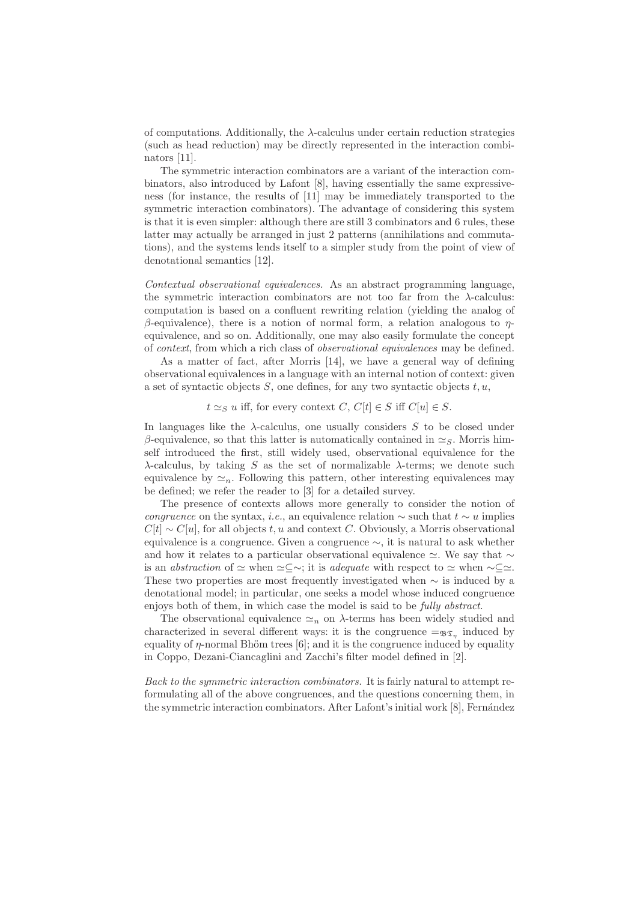of computations. Additionally, the  $\lambda$ -calculus under certain reduction strategies (such as head reduction) may be directly represented in the interaction combinators [11].

The symmetric interaction combinators are a variant of the interaction combinators, also introduced by Lafont [8], having essentially the same expressiveness (for instance, the results of [11] may be immediately transported to the symmetric interaction combinators). The advantage of considering this system is that it is even simpler: although there are still 3 combinators and 6 rules, these latter may actually be arranged in just 2 patterns (annihilations and commutations), and the systems lends itself to a simpler study from the point of view of denotational semantics [12].

Contextual observational equivalences. As an abstract programming language, the symmetric interaction combinators are not too far from the  $\lambda$ -calculus: computation is based on a confluent rewriting relation (yielding the analog of β-equivalence), there is a notion of normal form, a relation analogous to  $η$ equivalence, and so on. Additionally, one may also easily formulate the concept of context, from which a rich class of observational equivalences may be defined.

As a matter of fact, after Morris [14], we have a general way of defining observational equivalences in a language with an internal notion of context: given a set of syntactic objects  $S$ , one defines, for any two syntactic objects  $t, u$ ,

 $t \simeq_S u$  iff, for every context C,  $C[t] \in S$  iff  $C[u] \in S$ .

In languages like the  $\lambda$ -calculus, one usually considers S to be closed under β-equivalence, so that this latter is automatically contained in  $\simeq$ <sub>S</sub>. Morris himself introduced the first, still widely used, observational equivalence for the λ-calculus, by taking S as the set of normalizable λ-terms; we denote such equivalence by  $\approx_n$ . Following this pattern, other interesting equivalences may be defined; we refer the reader to [3] for a detailed survey.

The presence of contexts allows more generally to consider the notion of congruence on the syntax, *i.e.*, an equivalence relation  $\sim$  such that  $t \sim u$  implies  $C[t] \sim C[u]$ , for all objects t, u and context C. Obviously, a Morris observational equivalence is a congruence. Given a congruence ∼, it is natural to ask whether and how it relates to a particular observational equivalence  $\simeq$ . We say that  $\sim$ is an abstraction of  $\simeq$  when  $\simeq \subseteq \sim$ ; it is adequate with respect to  $\simeq$  when  $\sim \subseteq \simeq$ . These two properties are most frequently investigated when  $\sim$  is induced by a denotational model; in particular, one seeks a model whose induced congruence enjoys both of them, in which case the model is said to be fully abstract.

The observational equivalence  $\simeq_n$  on  $\lambda$ -terms has been widely studied and characterized in several different ways: it is the congruence  $=\mathfrak{g}_{\mathfrak{T}_{\eta}}$  induced by equality of  $\eta$ -normal Bhöm trees [6]; and it is the congruence induced by equality in Coppo, Dezani-Ciancaglini and Zacchi's filter model defined in [2].

Back to the symmetric interaction combinators. It is fairly natural to attempt reformulating all of the above congruences, and the questions concerning them, in the symmetric interaction combinators. After Lafont's initial work [8], Fernández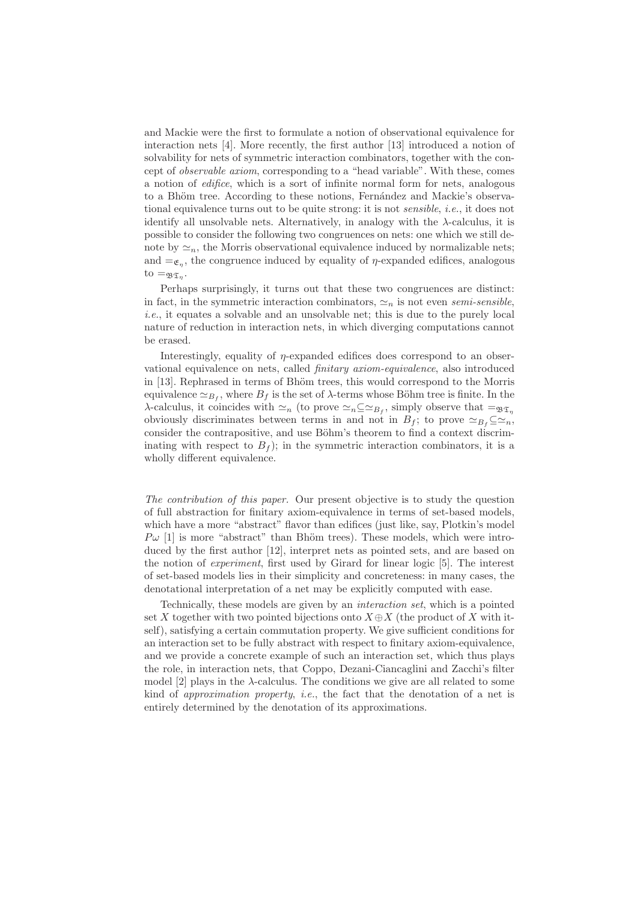and Mackie were the first to formulate a notion of observational equivalence for interaction nets [4]. More recently, the first author [13] introduced a notion of solvability for nets of symmetric interaction combinators, together with the concept of observable axiom, corresponding to a "head variable". With these, comes a notion of edifice, which is a sort of infinite normal form for nets, analogous to a Bhöm tree. According to these notions, Fernández and Mackie's observational equivalence turns out to be quite strong: it is not sensible, i.e., it does not identify all unsolvable nets. Alternatively, in analogy with the  $\lambda$ -calculus, it is possible to consider the following two congruences on nets: one which we still denote by  $\simeq_n$ , the Morris observational equivalence induced by normalizable nets; and  $=\mathfrak{e}_n$ , the congruence induced by equality of  $\eta$ -expanded edifices, analogous to  $=_{\mathfrak{BZ}_{\eta}}$ .

Perhaps surprisingly, it turns out that these two congruences are distinct: in fact, in the symmetric interaction combinators,  $\approx_n$  is not even semi-sensible, i.e., it equates a solvable and an unsolvable net; this is due to the purely local nature of reduction in interaction nets, in which diverging computations cannot be erased.

Interestingly, equality of  $\eta$ -expanded edifices does correspond to an observational equivalence on nets, called finitary axiom-equivalence, also introduced in [13]. Rephrased in terms of Bhöm trees, this would correspond to the Morris equivalence  $\simeq_{B_f}$ , where  $B_f$  is the set of  $\lambda$ -terms whose Böhm tree is finite. In the  $\lambda$ -calculus, it coincides with  $\simeq_n ($  to prove  $\simeq_n \subseteq \simeq_{B_f}$ , simply observe that  $=\simeq_{\mathfrak{T}_\eta}$ obviously discriminates between terms in and not in  $B_f$ ; to prove  $\simeq_{B_f} \subseteq \simeq_n$ , consider the contrapositive, and use Böhm's theorem to find a context discriminating with respect to  $B_f$ ; in the symmetric interaction combinators, it is a wholly different equivalence.

The contribution of this paper. Our present objective is to study the question of full abstraction for finitary axiom-equivalence in terms of set-based models, which have a more "abstract" flavor than edifices (just like, say, Plotkin's model  $P\omega$  [1] is more "abstract" than Bhöm trees). These models, which were introduced by the first author [12], interpret nets as pointed sets, and are based on the notion of experiment, first used by Girard for linear logic [5]. The interest of set-based models lies in their simplicity and concreteness: in many cases, the denotational interpretation of a net may be explicitly computed with ease.

Technically, these models are given by an interaction set, which is a pointed set X together with two pointed bijections onto  $X \oplus X$  (the product of X with itself), satisfying a certain commutation property. We give sufficient conditions for an interaction set to be fully abstract with respect to finitary axiom-equivalence, and we provide a concrete example of such an interaction set, which thus plays the role, in interaction nets, that Coppo, Dezani-Ciancaglini and Zacchi's filter model [2] plays in the  $\lambda$ -calculus. The conditions we give are all related to some kind of approximation property, i.e., the fact that the denotation of a net is entirely determined by the denotation of its approximations.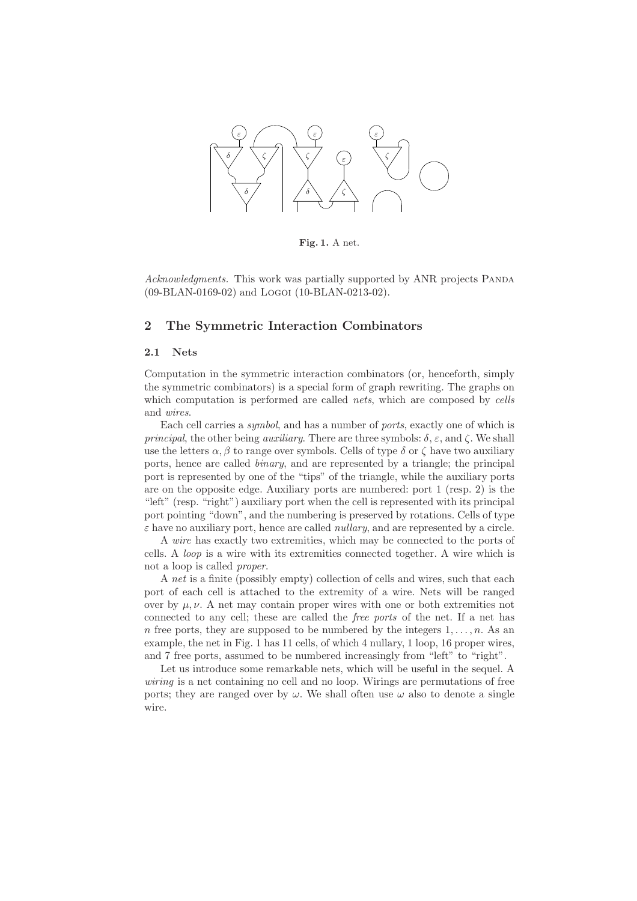

Fig. 1. A net.

Acknowledgments. This work was partially supported by ANR projects PANDA (09-BLAN-0169-02) and Logoi (10-BLAN-0213-02).

# 2 The Symmetric Interaction Combinators

#### 2.1 Nets

Computation in the symmetric interaction combinators (or, henceforth, simply the symmetric combinators) is a special form of graph rewriting. The graphs on which computation is performed are called nets, which are composed by cells and wires.

Each cell carries a symbol, and has a number of ports, exactly one of which is *principal*, the other being *auxiliary*. There are three symbols:  $\delta$ ,  $\varepsilon$ , and  $\zeta$ . We shall use the letters  $\alpha, \beta$  to range over symbols. Cells of type  $\delta$  or  $\zeta$  have two auxiliary ports, hence are called binary, and are represented by a triangle; the principal port is represented by one of the "tips" of the triangle, while the auxiliary ports are on the opposite edge. Auxiliary ports are numbered: port 1 (resp. 2) is the "left" (resp. "right") auxiliary port when the cell is represented with its principal port pointing "down", and the numbering is preserved by rotations. Cells of type  $\varepsilon$  have no auxiliary port, hence are called *nullary*, and are represented by a circle.

A wire has exactly two extremities, which may be connected to the ports of cells. A loop is a wire with its extremities connected together. A wire which is not a loop is called proper.

A net is a finite (possibly empty) collection of cells and wires, such that each port of each cell is attached to the extremity of a wire. Nets will be ranged over by  $\mu, \nu$ . A net may contain proper wires with one or both extremities not connected to any cell; these are called the free ports of the net. If a net has n free ports, they are supposed to be numbered by the integers  $1, \ldots, n$ . As an example, the net in Fig. 1 has 11 cells, of which 4 nullary, 1 loop, 16 proper wires, and 7 free ports, assumed to be numbered increasingly from "left" to "right".

Let us introduce some remarkable nets, which will be useful in the sequel. A wiring is a net containing no cell and no loop. Wirings are permutations of free ports; they are ranged over by  $\omega$ . We shall often use  $\omega$  also to denote a single wire.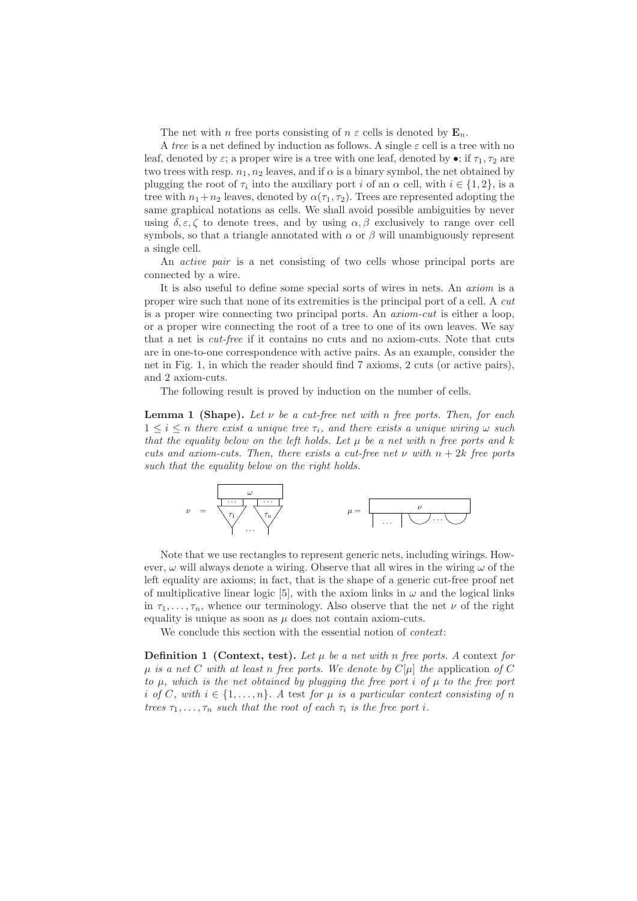The net with n free ports consisting of  $n \varepsilon$  cells is denoted by  $\mathbf{E}_n$ .

A tree is a net defined by induction as follows. A single  $\varepsilon$  cell is a tree with no leaf, denoted by  $\varepsilon$ ; a proper wire is a tree with one leaf, denoted by  $\bullet$ ; if  $\tau_1, \tau_2$  are two trees with resp.  $n_1, n_2$  leaves, and if  $\alpha$  is a binary symbol, the net obtained by plugging the root of  $\tau_i$  into the auxiliary port *i* of an  $\alpha$  cell, with  $i \in \{1,2\}$ , is a tree with  $n_1+n_2$  leaves, denoted by  $\alpha(\tau_1, \tau_2)$ . Trees are represented adopting the same graphical notations as cells. We shall avoid possible ambiguities by never using  $\delta, \varepsilon, \zeta$  to denote trees, and by using  $\alpha, \beta$  exclusively to range over cell symbols, so that a triangle annotated with  $\alpha$  or  $\beta$  will unambiguously represent a single cell.

An active pair is a net consisting of two cells whose principal ports are connected by a wire.

It is also useful to define some special sorts of wires in nets. An axiom is a proper wire such that none of its extremities is the principal port of a cell. A cut is a proper wire connecting two principal ports. An axiom-cut is either a loop, or a proper wire connecting the root of a tree to one of its own leaves. We say that a net is cut-free if it contains no cuts and no axiom-cuts. Note that cuts are in one-to-one correspondence with active pairs. As an example, consider the net in Fig. 1, in which the reader should find 7 axioms, 2 cuts (or active pairs), and 2 axiom-cuts.

The following result is proved by induction on the number of cells.

**Lemma 1 (Shape).** Let  $\nu$  be a cut-free net with n free ports. Then, for each  $1 \leq i \leq n$  there exist a unique tree  $\tau_i$ , and there exists a unique wiring  $\omega$  such that the equality below on the left holds. Let  $\mu$  be a net with n free ports and k cuts and axiom-cuts. Then, there exists a cut-free net  $\nu$  with  $n + 2k$  free ports such that the equality below on the right holds.



Note that we use rectangles to represent generic nets, including wirings. However,  $\omega$  will always denote a wiring. Observe that all wires in the wiring  $\omega$  of the left equality are axioms; in fact, that is the shape of a generic cut-free proof net of multiplicative linear logic [5], with the axiom links in  $\omega$  and the logical links in  $\tau_1, \ldots, \tau_n$ , whence our terminology. Also observe that the net  $\nu$  of the right equality is unique as soon as  $\mu$  does not contain axiom-cuts.

We conclude this section with the essential notion of *context*:

**Definition 1** (Context, test). Let  $\mu$  be a net with n free ports. A context for  $\mu$  is a net C with at least n free ports. We denote by  $C[\mu]$  the application of C to  $\mu$ , which is the net obtained by plugging the free port i of  $\mu$  to the free port i of C, with  $i \in \{1, \ldots, n\}$ . A test for  $\mu$  is a particular context consisting of n trees  $\tau_1, \ldots, \tau_n$  such that the root of each  $\tau_i$  is the free port i.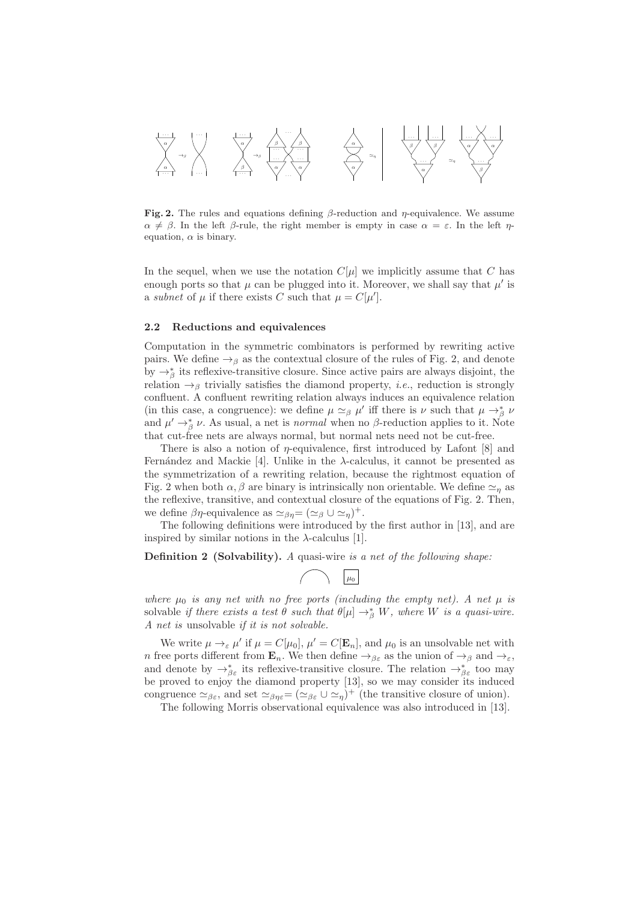

Fig. 2. The rules and equations defining  $\beta$ -reduction and  $\eta$ -equivalence. We assume  $\alpha \neq \beta$ . In the left  $\beta$ -rule, the right member is empty in case  $\alpha = \varepsilon$ . In the left  $\eta$ equation,  $\alpha$  is binary.

In the sequel, when we use the notation  $C[\mu]$  we implicitly assume that C has enough ports so that  $\mu$  can be plugged into it. Moreover, we shall say that  $\mu'$  is a subnet of  $\mu$  if there exists C such that  $\mu = C[\mu']$ .

#### 2.2 Reductions and equivalences

Computation in the symmetric combinators is performed by rewriting active pairs. We define  $\rightarrow$ <sub>β</sub> as the contextual closure of the rules of Fig. 2, and denote by  $\rightarrow_{\beta}^*$  its reflexive-transitive closure. Since active pairs are always disjoint, the relation  $\rightarrow$ <sub>β</sub> trivially satisfies the diamond property, *i.e.*, reduction is strongly confluent. A confluent rewriting relation always induces an equivalence relation (in this case, a congruence): we define  $\mu \simeq_{\beta} \mu'$  iff there is  $\nu$  such that  $\mu \to_{\beta}^* \nu$ and  $\mu' \rightarrow_{\beta}^{*} \nu$ . As usual, a net is *normal* when no  $\beta$ -reduction applies to it. Note that cut-free nets are always normal, but normal nets need not be cut-free.

There is also a notion of  $\eta$ -equivalence, first introduced by Lafont [8] and Fernández and Mackie [4]. Unlike in the  $\lambda$ -calculus, it cannot be presented as the symmetrization of a rewriting relation, because the rightmost equation of Fig. 2 when both  $\alpha, \beta$  are binary is intrinsically non orientable. We define  $\simeq_n$  as the reflexive, transitive, and contextual closure of the equations of Fig. 2. Then, we define  $\beta\eta$ -equivalence as  $\simeq_{\beta\eta} = (\simeq_{\beta} \cup \simeq_{\eta})^+$ .

The following definitions were introduced by the first author in [13], and are inspired by similar notions in the  $\lambda$ -calculus [1].

Definition 2 (Solvability). A quasi-wire is a net of the following shape:

$$
\bigcap \qquad \boxed{\mu_0}
$$

where  $\mu_0$  is any net with no free ports (including the empty net). A net  $\mu$  is solvable if there exists a test  $\theta$  such that  $\theta[\mu] \to_{\beta}^* W$ , where W is a quasi-wire. A net is unsolvable if it is not solvable.

We write  $\mu \to_{\varepsilon} \mu'$  if  $\mu = C[\mu_0], \mu' = C[\mathbf{E}_n]$ , and  $\mu_0$  is an unsolvable net with n free ports different from  $\mathbf{E}_n$ . We then define  $\rightarrow_{\beta \varepsilon}$  as the union of  $\rightarrow_{\beta}$  and  $\rightarrow_{\varepsilon}$ , and denote by  $\rightarrow_{\beta\varepsilon}^*$  its reflexive-transitive closure. The relation  $\rightarrow_{\beta\varepsilon}^*$  too may be proved to enjoy the diamond property [13], so we may consider its induced congruence  $\simeq_{\beta\varepsilon}$ , and set  $\simeq_{\beta\eta\varepsilon}$   $(\simeq_{\beta\varepsilon} \cup \simeq_{\eta})^+$  (the transitive closure of union).

The following Morris observational equivalence was also introduced in [13].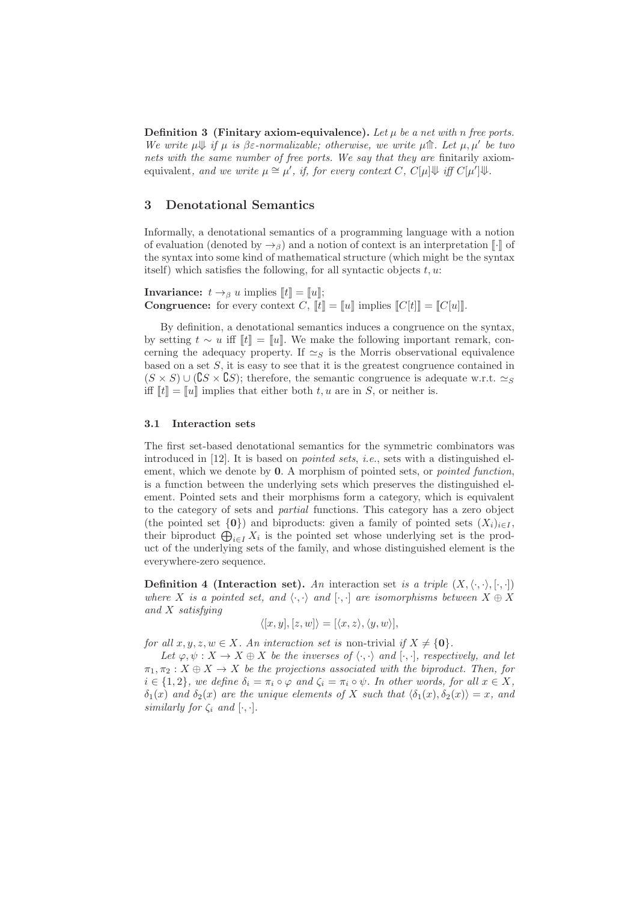Definition 3 (Finitary axiom-equivalence). Let  $\mu$  be a net with n free ports. We write  $\mu \Downarrow$  if  $\mu$  is  $\beta \varepsilon$ -normalizable; otherwise, we write  $\mu \Uparrow$ . Let  $\mu, \mu'$  be two nets with the same number of free ports. We say that they are finitarily axiomequivalent, and we write  $\mu \cong \mu'$ , if, for every context C,  $C[\mu]\Downarrow$  iff  $C[\mu']\Downarrow$ .

# 3 Denotational Semantics

Informally, a denotational semantics of a programming language with a notion of evaluation (denoted by  $\rightarrow$ <sub>β</sub>) and a notion of context is an interpretation  $\lceil \cdot \rceil$  of the syntax into some kind of mathematical structure (which might be the syntax itself) which satisfies the following, for all syntactic objects  $t, u$ .

**Invariance:**  $t \rightarrow_\beta u$  implies  $\llbracket t \rrbracket = \llbracket u \rrbracket$ ; **Congruence:** for every context C,  $\llbracket t \rrbracket = \llbracket u \rrbracket$  implies  $\llbracket C[t] \rrbracket = \llbracket C[u] \rrbracket$ .

By definition, a denotational semantics induces a congruence on the syntax, by setting  $t \sim u$  iff  $\llbracket t \rrbracket = \llbracket u \rrbracket$ . We make the following important remark, concerning the adequacy property. If  $\simeq_S$  is the Morris observational equivalence based on a set  $S$ , it is easy to see that it is the greatest congruence contained in  $(S \times S) \cup (\mathbf{C}S \times \mathbf{C}S)$ ; therefore, the semantic congruence is adequate w.r.t.  $\simeq_S$ iff  $\llbracket t \rrbracket = \llbracket u \rrbracket$  implies that either both t, u are in S, or neither is.

## 3.1 Interaction sets

The first set-based denotational semantics for the symmetric combinators was introduced in  $[12]$ . It is based on *pointed sets, i.e.*, sets with a distinguished element, which we denote by 0. A morphism of pointed sets, or *pointed function*, is a function between the underlying sets which preserves the distinguished element. Pointed sets and their morphisms form a category, which is equivalent to the category of sets and partial functions. This category has a zero object (the pointed set  $\{0\}$ ) and biproducts: given a family of pointed sets  $(X_i)_{i\in I}$ , their biproduct  $\bigoplus_{i\in I} X_i$  is the pointed set whose underlying set is the product of the underlying sets of the family, and whose distinguished element is the everywhere-zero sequence.

**Definition 4 (Interaction set).** An interaction set is a triple  $(X, \langle \cdot, \cdot \rangle, [\cdot, \cdot])$ where X is a pointed set, and  $\langle \cdot, \cdot \rangle$  and  $[\cdot, \cdot]$  are isomorphisms between  $X \oplus X$ and X satisfying

$$
\langle [x, y], [z, w] \rangle = [\langle x, z \rangle, \langle y, w \rangle],
$$

for all  $x, y, z, w \in X$ . An interaction set is non-trivial if  $X \neq \{0\}$ .

Let  $\varphi, \psi : X \to X \oplus X$  be the inverses of  $\langle \cdot, \cdot \rangle$  and  $[\cdot, \cdot]$ , respectively, and let  $\pi_1, \pi_2 : X \oplus X \to X$  be the projections associated with the biproduct. Then, for  $i \in \{1,2\}$ , we define  $\delta_i = \pi_i \circ \varphi$  and  $\zeta_i = \pi_i \circ \psi$ . In other words, for all  $x \in X$ ,  $\delta_1(x)$  and  $\delta_2(x)$  are the unique elements of X such that  $\langle \delta_1(x), \delta_2(x)\rangle = x$ , and similarly for  $\zeta_i$  and  $[\cdot, \cdot]$ .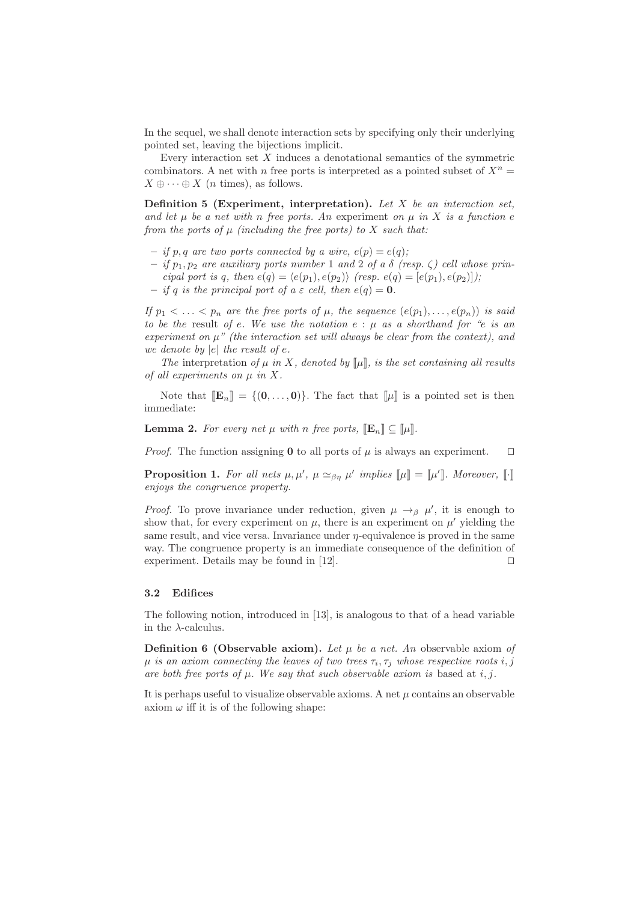In the sequel, we shall denote interaction sets by specifying only their underlying pointed set, leaving the bijections implicit.

Every interaction set  $X$  induces a denotational semantics of the symmetric combinators. A net with n free ports is interpreted as a pointed subset of  $X^n =$  $X \oplus \cdots \oplus X$  (*n* times), as follows.

Definition 5 (Experiment, interpretation). Let  $X$  be an interaction set, and let  $\mu$  be a net with n free ports. An experiment on  $\mu$  in X is a function e from the ports of  $\mu$  (including the free ports) to X such that:

- if p, q are two ports connected by a wire,  $e(p) = e(q)$ ;
- if  $p_1, p_2$  are auxiliary ports number 1 and 2 of a  $\delta$  (resp.  $\zeta$ ) cell whose principal port is q, then  $e(q) = \langle e(p_1), e(p_2) \rangle$  (resp.  $e(q) = [e(p_1), e(p_2)]$ );
- if q is the principal port of  $a \in cell$ , then  $e(q) = 0$ .

If  $p_1 < \ldots < p_n$  are the free ports of  $\mu$ , the sequence  $(e(p_1), \ldots, e(p_n))$  is said to be the result of e. We use the notation  $e : u$  as a shorthand for "e is an experiment on  $\mu$ " (the interaction set will always be clear from the context), and we denote by  $|e|$  the result of  $e$ .

The interpretation of  $\mu$  in X, denoted by  $[\![\mu]\!]$ , is the set containing all results of all experiments on  $\mu$  in  $X$ .

Note that  $[\mathbb{E}_n] = \{(0, \ldots, 0)\}.$  The fact that  $[\![\mu]\!]$  is a pointed set is then immediate:

**Lemma 2.** For every net  $\mu$  with n free ports,  $[\mathbf{E}_n] \subset [\mu]$ .

*Proof.* The function assigning 0 to all ports of  $\mu$  is always an experiment.  $\Box$ 

**Proposition 1.** For all nets  $\mu, \mu', \mu \simeq_{\beta\eta} \mu'$  implies  $[\![\mu]\!] = [\![\mu']\!]$ . Moreover,  $[\![\cdot]\!]$ enjoys the congruence property.

*Proof.* To prove invariance under reduction, given  $\mu \rightarrow_{\beta} \mu'$ , it is enough to show that, for every experiment on  $\mu$ , there is an experiment on  $\mu'$  yielding the same result, and vice versa. Invariance under  $\eta$ -equivalence is proved in the same way. The congruence property is an immediate consequence of the definition of experiment. Details may be found in [12]. □

## 3.2 Edifices

The following notion, introduced in [13], is analogous to that of a head variable in the  $\lambda$ -calculus.

**Definition 6 (Observable axiom).** Let  $\mu$  be a net. An observable axiom of  $\mu$  is an axiom connecting the leaves of two trees  $\tau_i, \tau_j$  whose respective roots  $i,j$ are both free ports of  $\mu$ . We say that such observable axiom is based at i, j.

It is perhaps useful to visualize observable axioms. A net  $\mu$  contains an observable axiom  $\omega$  iff it is of the following shape: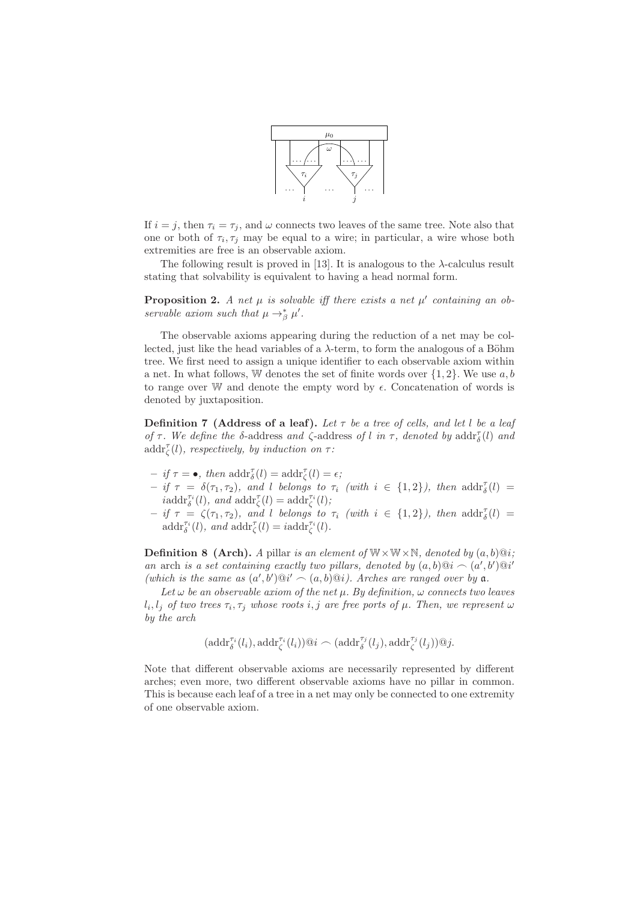

If  $i = j$ , then  $\tau_i = \tau_j$ , and  $\omega$  connects two leaves of the same tree. Note also that one or both of  $\tau_i, \tau_j$  may be equal to a wire; in particular, a wire whose both extremities are free is an observable axiom.

The following result is proved in [13]. It is analogous to the  $\lambda$ -calculus result stating that solvability is equivalent to having a head normal form.

**Proposition 2.** A net  $\mu$  is solvable iff there exists a net  $\mu'$  containing an observable axiom such that  $\mu \rightarrow_{\beta}^{*} \mu'$ .

The observable axioms appearing during the reduction of a net may be collected, just like the head variables of a  $\lambda$ -term, to form the analogous of a Böhm tree. We first need to assign a unique identifier to each observable axiom within a net. In what follows, W denotes the set of finite words over  $\{1,2\}$ . We use  $a, b$ to range over W and denote the empty word by  $\epsilon$ . Concatenation of words is denoted by juxtaposition.

**Definition 7** (Address of a leaf). Let  $\tau$  be a tree of cells, and let l be a leaf of  $\tau$ . We define the δ-address and  $\zeta$ -address of l in  $\tau$ , denoted by addr<sub>δ</sub>(l) and  $\text{addr}_{\zeta}^{\tau}(l)$ , respectively, by induction on  $\tau$ :

- $-$  if  $\tau = \bullet$ , then  $\operatorname{addr}_{\delta}^{\tau}(l) = \operatorname{addr}_{\zeta}^{\tau}(l) = \epsilon$ ;
- $-$  if  $\tau = \delta(\tau_1, \tau_2)$ , and l belongs to  $\tau_i$  (with  $i \in \{1,2\}$ ), then  $\text{addr}_{\delta}^{\tau}(l)$  =  $i\text{addr}_{\delta}^{\tau_i}(l)$ , and  $\text{addr}_{\zeta}^{\tau}(l) = \text{addr}_{\zeta}^{\tau_i}(l)$ ;
- $-$  if  $\tau = \zeta(\tau_1, \tau_2)$ , and l belongs to  $\tau_i$  (with  $i \in \{1,2\}$ ), then  $\text{addr}_{\delta}^{\tau}(l)$  =  $\text{addr}_{\delta}^{\tau_i}(l)$ , and  $\text{addr}_{\zeta}^{\tau}(l) = i \text{addr}_{\zeta}^{\tau_i}(l)$ .

**Definition 8 (Arch).** A pillar is an element of  $W \times W \times N$ , denoted by  $(a, b) @i$ ; an arch is a set containing exactly two pillars, denoted by  $(a, b) @i \frown (a', b') @i'$ (which is the same as  $(a',b')@i' \frown (a,b)@i$ ). Arches are ranged over by a.

Let  $\omega$  be an observable axiom of the net  $\mu$ . By definition,  $\omega$  connects two leaves  $l_i, l_j$  of two trees  $\tau_i, \tau_j$  whose roots  $i, j$  are free ports of  $\mu$ . Then, we represent  $\omega$ by the arch

$$
(\mathrm{addr}_{\delta}^{\tau_i}(l_i), \mathrm{addr}_{\zeta}^{\tau_i}(l_i))@i \frown (\mathrm{addr}_{\delta}^{\tau_j}(l_j), \mathrm{addr}_{\zeta}^{\tau_j}(l_j))@j.
$$

Note that different observable axioms are necessarily represented by different arches; even more, two different observable axioms have no pillar in common. This is because each leaf of a tree in a net may only be connected to one extremity of one observable axiom.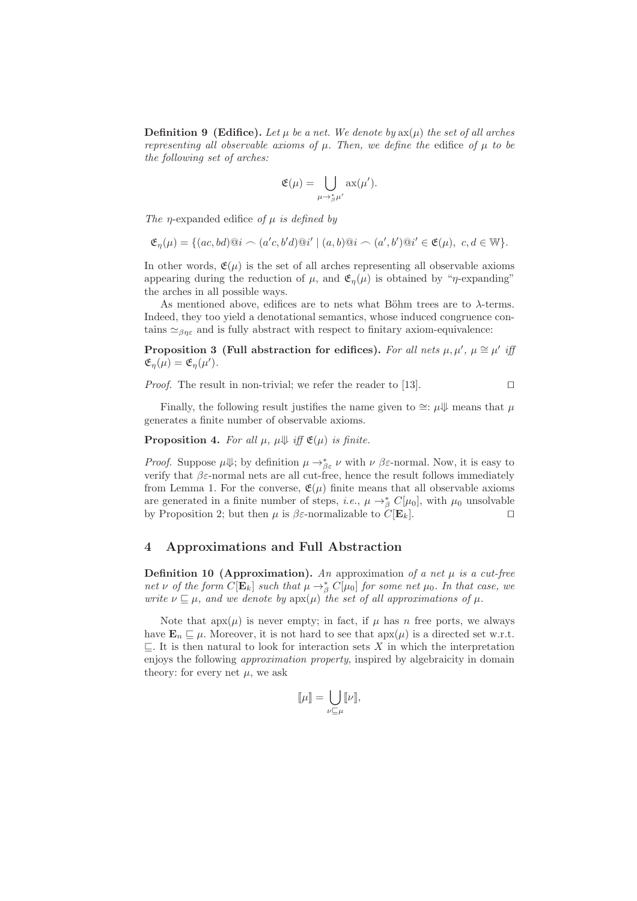**Definition 9 (Edifice).** Let  $\mu$  be a net. We denote by  $ax(\mu)$  the set of all arches representing all observable axioms of  $\mu$ . Then, we define the edifice of  $\mu$  to be the following set of arches:

$$
\mathfrak{E}(\mu) = \bigcup_{\mu \to_{\beta}^* \mu'} \mathrm{ax}(\mu').
$$

The *n*-expanded edifice of  $\mu$  is defined by

$$
\mathfrak{E}_{\eta}(\mu) = \{ (ac, bd) @i \frown (a'c, b'd) @i' \mid (a, b) @i \frown (a', b') @i' \in \mathfrak{E}(\mu), \ c, d \in \mathbb{W} \}.
$$

In other words,  $\mathfrak{E}(\mu)$  is the set of all arches representing all observable axioms appearing during the reduction of  $\mu$ , and  $\mathfrak{E}_n(\mu)$  is obtained by "*η*-expanding" the arches in all possible ways.

As mentioned above, edifices are to nets what Böhm trees are to  $\lambda$ -terms. Indeed, they too yield a denotational semantics, whose induced congruence contains  $\approx_{\beta n \epsilon}$  and is fully abstract with respect to finitary axiom-equivalence:

Proposition 3 (Full abstraction for edifices). For all nets  $\mu, \mu', \mu \cong \mu'$  if  $\mathfrak{E}_{\eta}(\mu) = \mathfrak{E}_{\eta}(\mu').$ 

*Proof.* The result in non-trivial; we refer the reader to [13]. □

Finally, the following result justifies the name given to  $\cong$ : µ $\Downarrow$  means that µ generates a finite number of observable axioms.

**Proposition 4.** For all  $\mu$ ,  $\mu \Downarrow$  iff  $\mathfrak{E}(\mu)$  is finite.

*Proof.* Suppose  $\mu \Downarrow$ ; by definition  $\mu \to_{\beta \varepsilon}^* \nu$  with  $\nu \beta \varepsilon$ -normal. Now, it is easy to verify that  $\beta \varepsilon$ -normal nets are all cut-free, hence the result follows immediately from Lemma 1. For the converse,  $\mathfrak{E}(\mu)$  finite means that all observable axioms are generated in a finite number of steps, *i.e.*,  $\mu \rightarrow_{\beta}^{\ast} C[\mu_0]$ , with  $\mu_0$  unsolvable by Proposition 2; but then  $\mu$  is  $\beta \varepsilon$ -normalizable to  $C[\mathbf{E}_k]$ . □

## 4 Approximations and Full Abstraction

**Definition 10 (Approximation).** An approximation of a net  $\mu$  is a cut-free net v of the form  $C[\mathbf{E}_k]$  such that  $\mu \to_{\beta}^* C[\mu_0]$  for some net  $\mu_0$ . In that case, we write  $\nu \sqsubseteq \mu$ , and we denote by  $ap(x)$  the set of all approximations of  $\mu$ .

Note that  $apx(\mu)$  is never empty; in fact, if  $\mu$  has n free ports, we always have  $\mathbf{E}_n \sqsubseteq \mu$ . Moreover, it is not hard to see that  $apx(\mu)$  is a directed set w.r.t.  $\subseteq$ . It is then natural to look for interaction sets X in which the interpretation enjoys the following approximation property, inspired by algebraicity in domain theory: for every net  $\mu$ , we ask

$$
[\![\mu]\!] = \bigcup_{\nu \sqsubseteq \mu} [\![\nu]\!],
$$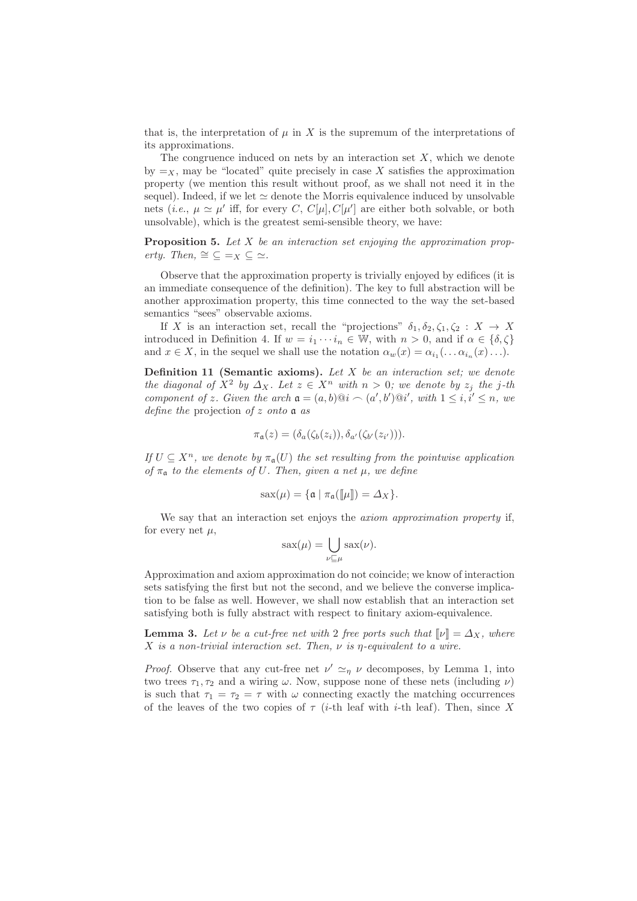that is, the interpretation of  $\mu$  in X is the supremum of the interpretations of its approximations.

The congruence induced on nets by an interaction set  $X$ , which we denote by  $=x$ , may be "located" quite precisely in case X satisfies the approximation property (we mention this result without proof, as we shall not need it in the sequel). Indeed, if we let  $\simeq$  denote the Morris equivalence induced by unsolvable nets (*i.e.*,  $\mu \simeq \mu'$  iff, for every C,  $C[\mu]$ ,  $C[\mu']$  are either both solvable, or both unsolvable), which is the greatest semi-sensible theory, we have:

**Proposition 5.** Let  $X$  be an interaction set enjoying the approximation property. Then,  $\cong \subseteq =_X \subseteq \cong$ .

Observe that the approximation property is trivially enjoyed by edifices (it is an immediate consequence of the definition). The key to full abstraction will be another approximation property, this time connected to the way the set-based semantics "sees" observable axioms.

If X is an interaction set, recall the "projections"  $\delta_1, \delta_2, \zeta_1, \zeta_2 : X \to X$ introduced in Definition 4. If  $w = i_1 \cdots i_n \in \mathbb{W}$ , with  $n > 0$ , and if  $\alpha \in \{\delta, \zeta\}$ and  $x \in X$ , in the sequel we shall use the notation  $\alpha_w(x) = \alpha_{i_1}(\ldots \alpha_{i_n}(x) \ldots)$ .

**Definition 11 (Semantic axioms).** Let  $X$  be an interaction set; we denote the diagonal of  $X^2$  by  $\Delta_X$ . Let  $z \in X^n$  with  $n > 0$ ; we denote by  $z_j$  the j-th component of z. Given the arch  $a = (a, b) @ i \sim (a', b') @ i', \text{ with } 1 \leq i, i' \leq n, \text{ we}$ define the projection of z onto  $a$  as

$$
\pi_{\mathfrak{a}}(z) = (\delta_a(\zeta_b(z_i)), \delta_{a'}(\zeta_{b'}(z_{i'}))).
$$

If  $U \subseteq X^n$ , we denote by  $\pi_{\mathfrak{a}}(U)$  the set resulting from the pointwise application of  $\pi_a$  to the elements of U. Then, given a net  $\mu$ , we define

$$
sax(\mu) = \{ \mathfrak{a} \mid \pi_{\mathfrak{a}}(\llbracket \mu \rrbracket) = \Delta_X \}.
$$

We say that an interaction set enjoys the *axiom approximation property* if, for every net  $\mu$ ,

$$
sax(\mu) = \bigcup_{\nu \sqsubseteq \mu} sax(\nu).
$$

Approximation and axiom approximation do not coincide; we know of interaction sets satisfying the first but not the second, and we believe the converse implication to be false as well. However, we shall now establish that an interaction set satisfying both is fully abstract with respect to finitary axiom-equivalence.

**Lemma 3.** Let  $\nu$  be a cut-free net with 2 free ports such that  $\lbrack \nu \rbrack = \Delta_X$ , where X is a non-trivial interaction set. Then,  $\nu$  is  $\eta$ -equivalent to a wire.

*Proof.* Observe that any cut-free net  $\nu' \simeq_{\eta} \nu$  decomposes, by Lemma 1, into two trees  $\tau_1, \tau_2$  and a wiring  $\omega$ . Now, suppose none of these nets (including  $\nu$ ) is such that  $\tau_1 = \tau_2 = \tau$  with  $\omega$  connecting exactly the matching occurrences of the leaves of the two copies of  $\tau$  (*i*-th leaf with *i*-th leaf). Then, since X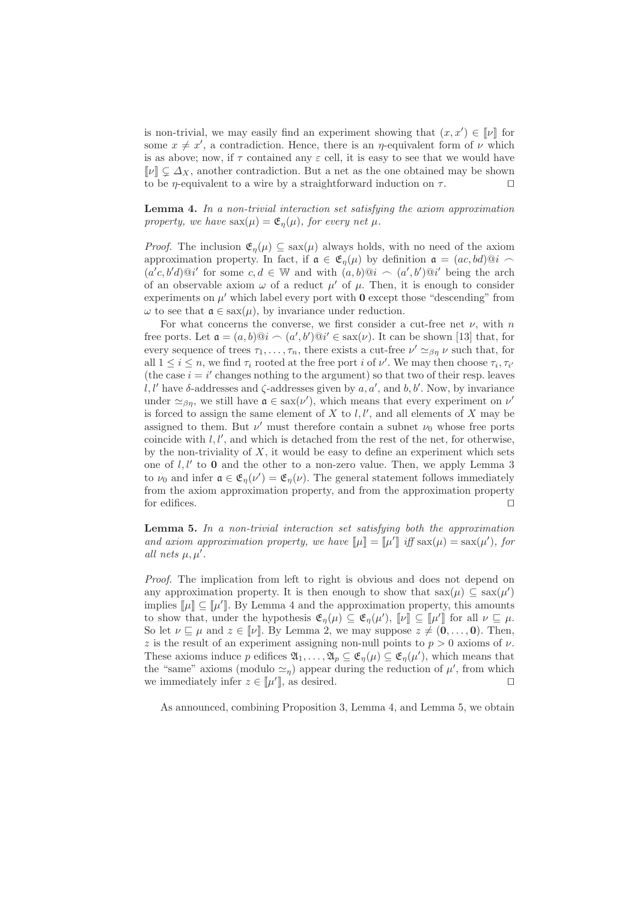is non-trivial, we may easily find an experiment showing that  $(x, x') \in \llbracket \nu \rrbracket$  for some  $x \neq x'$ , a contradiction. Hence, there is an  $\eta$ -equivalent form of  $\nu$  which is as above; now, if  $\tau$  contained any  $\varepsilon$  cell, it is easy to see that we would have  $\llbracket \nu \rrbracket \subset \Delta_X$ , another contradiction. But a net as the one obtained may be shown to be *η*-equivalent to a wire by a straightforward induction on  $\tau$ . □

Lemma 4. In a non-trivial interaction set satisfying the axiom approximation property, we have  $sax(\mu) = \mathfrak{E}_n(\mu)$ , for every net  $\mu$ .

*Proof.* The inclusion  $\mathfrak{E}_n(\mu) \subseteq \text{sav}(\mu)$  always holds, with no need of the axiom approximation property. In fact, if  $\mathfrak{a} \in \mathfrak{E}_n(\mu)$  by definition  $\mathfrak{a} = (ac, bd)@i \sim$  $(a'c, b'd)@i'$  for some  $c, d \in \mathbb{W}$  and with  $(a, b)@i \frown (a', b')@i'$  being the arch of an observable axiom  $\omega$  of a reduct  $\mu'$  of  $\mu$ . Then, it is enough to consider experiments on  $\mu'$  which label every port with  $\mathbf 0$  except those "descending" from  $\omega$  to see that  $\mathfrak{a} \in \text{sex}(\mu)$ , by invariance under reduction.

For what concerns the converse, we first consider a cut-free net  $\nu$ , with n free ports. Let  $\mathfrak{a} = (a, b) @i \sim (a', b') @i' \in \text{sax}(\nu)$ . It can be shown [13] that, for every sequence of trees  $\tau_1, \ldots, \tau_n$ , there exists a cut-free  $\nu' \simeq_{\beta\eta} \nu$  such that, for all  $1 \leq i \leq n$ , we find  $\tau_i$  rooted at the free port i of  $\nu'$ . We may then choose  $\tau_i$ ,  $\tau_{i'}$ (the case  $i = i'$  changes nothing to the argument) so that two of their resp. leaves l, l'have  $\delta$ -addresses and  $\zeta$ -addresses given by  $a, a'$ , and  $b, b'$ . Now, by invariance under  $\simeq_{\beta\eta}$ , we still have  $\mathfrak{a} \in \text{sax}(\nu')$ , which means that every experiment on  $\nu'$ is forced to assign the same element of  $X$  to  $l, l'$ , and all elements of  $X$  may be assigned to them. But  $\nu'$  must therefore contain a subnet  $\nu_0$  whose free ports coincide with  $l, l'$ , and which is detached from the rest of the net, for otherwise, by the non-triviality of  $X$ , it would be easy to define an experiment which sets one of  $l, l'$  to  $0$  and the other to a non-zero value. Then, we apply Lemma 3 to  $\nu_0$  and infer  $\mathfrak{a} \in \mathfrak{E}_{\eta}(\nu') = \mathfrak{E}_{\eta}(\nu)$ . The general statement follows immediately from the axiom approximation property, and from the approximation property for edifices. ⊓⊔

**Lemma 5.** In a non-trivial interaction set satisfying both the approximation and axiom approximation property, we have  $[\![\mu]\!] = [\![\mu']\!]$  iff  $\text{sax}(\mu) = \text{sax}(\mu')$ , for all nets  $\mu, \mu'$ .

Proof. The implication from left to right is obvious and does not depend on any approximation property. It is then enough to show that  $sax(\mu) \subseteq sax(\mu')$ implies  $[\![\mu]\!] \subseteq [\![\mu']\!]$ . By Lemma 4 and the approximation property, this amounts to show that, under the hypothesis  $\mathfrak{E}_{\eta}(\mu) \subseteq \mathfrak{E}_{\eta}(\mu')$ ,  $\llbracket \nu \rrbracket \subseteq \llbracket \mu' \rrbracket$  for all  $\nu \sqsubseteq \mu$ . So let  $\nu \sqsubseteq \mu$  and  $z \in [\nu]$ . By Lemma 2, we may suppose  $z \neq (0, \ldots, 0)$ . Then, z is the result of an experiment assigning non-null points to  $p > 0$  axioms of  $\nu$ . These axioms induce p edifices  $\mathfrak{A}_1,\ldots,\mathfrak{A}_p \subseteq \mathfrak{E}_\eta(\mu) \subseteq \mathfrak{E}_\eta(\mu')$ , which means that the "same" axioms (modulo  $\approx_{\eta}$ ) appear during the reduction of  $\mu'$ , from which we immediately infer  $z \in [\![\mu']\!]$ , as desired.  $\Box$ 

As announced, combining Proposition 3, Lemma 4, and Lemma 5, we obtain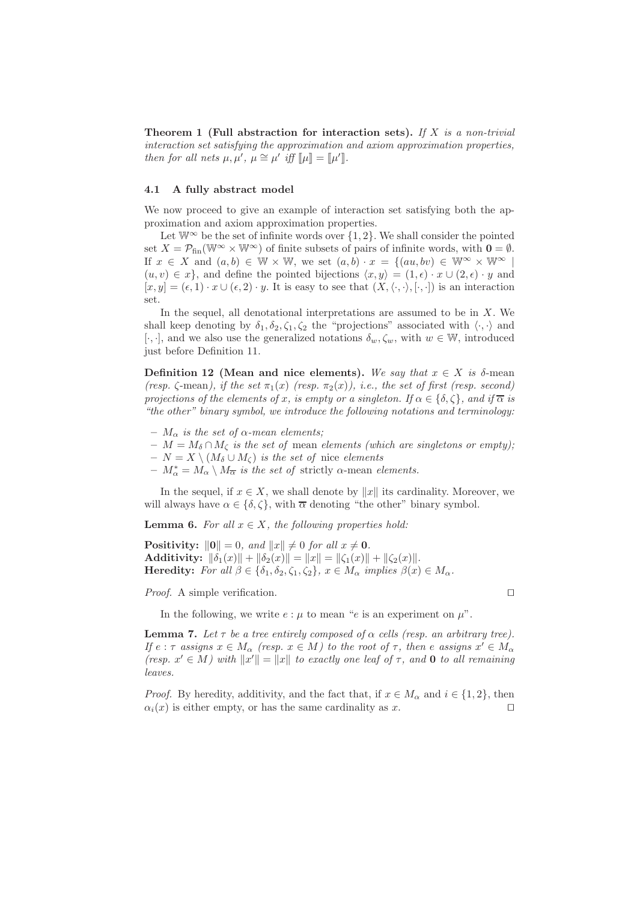Theorem 1 (Full abstraction for interaction sets). If X is a non-trivial interaction set satisfying the approximation and axiom approximation properties, then for all nets  $\mu, \mu', \mu \cong \mu'$  iff  $[\![\mu]\!] = [\![\mu']\!]$ .

#### 4.1 A fully abstract model

We now proceed to give an example of interaction set satisfying both the approximation and axiom approximation properties.

Let  $\mathbb{W}^{\infty}$  be the set of infinite words over  $\{1,2\}$ . We shall consider the pointed set  $X = \mathcal{P}_{fin}(\mathbb{W}^{\infty} \times \mathbb{W}^{\infty})$  of finite subsets of pairs of infinite words, with  $\mathbf{0} = \emptyset$ . If  $x \in X$  and  $(a, b) \in \mathbb{W} \times \mathbb{W}$ , we set  $(a, b) \cdot x = \{(au, bv) \in \mathbb{W}^\infty \times \mathbb{W}^\infty \mid$  $(u, v) \in x$ , and define the pointed bijections  $\langle x, y \rangle = (1, \epsilon) \cdot x \cup (2, \epsilon) \cdot y$  and  $[x, y] = (\epsilon, 1) \cdot x \cup (\epsilon, 2) \cdot y$ . It is easy to see that  $(X, \langle \cdot, \cdot \rangle, [\cdot, \cdot])$  is an interaction set.

In the sequel, all denotational interpretations are assumed to be in  $X$ . We shall keep denoting by  $\delta_1, \delta_2, \zeta_1, \zeta_2$  the "projections" associated with  $\langle \cdot, \cdot \rangle$  and [ $\cdot, \cdot$ ], and we also use the generalized notations  $\delta_w, \zeta_w$ , with  $w \in \mathbb{W}$ , introduced just before Definition 11.

Definition 12 (Mean and nice elements). We say that  $x \in X$  is  $\delta$ -mean (resp.  $\zeta$ -mean), if the set  $\pi_1(x)$  (resp.  $\pi_2(x)$ ), i.e., the set of first (resp. second) projections of the elements of x, is empty or a singleton. If  $\alpha \in \{\delta, \zeta\}$ , and if  $\overline{\alpha}$  is "the other" binary symbol, we introduce the following notations and terminology:

- $M_{\alpha}$  is the set of  $\alpha$ -mean elements;
- $-M = M_{\delta} \cap M_{\zeta}$  is the set of mean elements (which are singletons or empty);
- $N = X \setminus (M_{\delta} \cup M_{\delta})$  is the set of nice elements
- $-M^*_{\alpha} = M_{\alpha} \setminus M_{\overline{\alpha}}$  is the set of strictly  $\alpha$ -mean elements.

In the sequel, if  $x \in X$ , we shall denote by  $||x||$  its cardinality. Moreover, we will always have  $\alpha \in \{\delta, \zeta\}$ , with  $\overline{\alpha}$  denoting "the other" binary symbol.

**Lemma 6.** For all  $x \in X$ , the following properties hold:

**Positivity:**  $||0|| = 0$ , and  $||x|| \neq 0$  for all  $x \neq 0$ . Additivity:  $\|\delta_1(x)\| + \|\delta_2(x)\| = \|x\| = \|\zeta_1(x)\| + \|\zeta_2(x)\|.$ **Heredity:** For all  $\beta \in {\delta_1, \delta_2, \zeta_1, \zeta_2}$ ,  $x \in M_\alpha$  implies  $\beta(x) \in M_\alpha$ .

Proof. A simple verification. □

In the following, we write  $e : \mu$  to mean "e is an experiment on  $\mu$ ".

**Lemma 7.** Let  $\tau$  be a tree entirely composed of  $\alpha$  cells (resp. an arbitrary tree). If  $e: \tau$  assigns  $x \in M_\alpha$  (resp.  $x \in M$ ) to the root of  $\tau$ , then e assigns  $x' \in M_\alpha$ (resp.  $x' \in M$ ) with  $||x'|| = ||x||$  to exactly one leaf of  $\tau$ , and **0** to all remaining leaves.

*Proof.* By heredity, additivity, and the fact that, if  $x \in M_\alpha$  and  $i \in \{1,2\}$ , then  $\alpha_i(x)$  is either empty, or has the same cardinality as x. □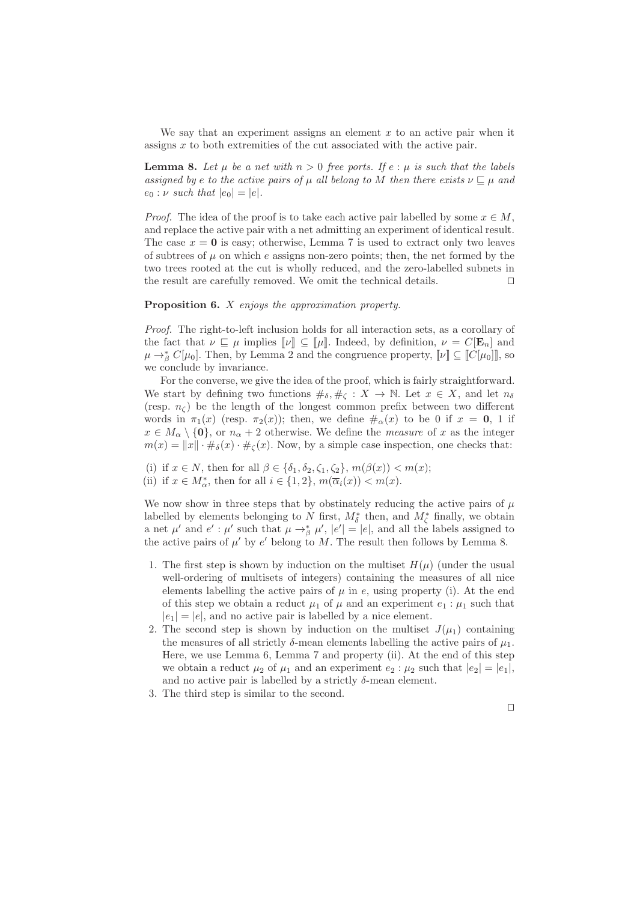We say that an experiment assigns an element  $x$  to an active pair when it assigns x to both extremities of the cut associated with the active pair.

**Lemma 8.** Let  $\mu$  be a net with  $n > 0$  free ports. If  $e : \mu$  is such that the labels assigned by e to the active pairs of  $\mu$  all belong to M then there exists  $\nu \sqsubseteq \mu$  and  $e_0$ :  $\nu$  such that  $|e_0| = |e|$ .

*Proof.* The idea of the proof is to take each active pair labelled by some  $x \in M$ , and replace the active pair with a net admitting an experiment of identical result. The case  $x = 0$  is easy; otherwise, Lemma 7 is used to extract only two leaves of subtrees of  $\mu$  on which e assigns non-zero points; then, the net formed by the two trees rooted at the cut is wholly reduced, and the zero-labelled subnets in the result are carefully removed. We omit the technical details. ⊓⊔

#### Proposition 6. X enjoys the approximation property.

Proof. The right-to-left inclusion holds for all interaction sets, as a corollary of the fact that  $\nu \subseteq \mu$  implies  $[\![\nu]\!] \subseteq [\![\mu]\!]$ . Indeed, by definition,  $\nu = C[\mathbf{E}_n]$  and  $\mu \rightarrow_{\beta}^* C[\mu_0]$ . Then, by Lemma 2 and the congruence property,  $[\![\nu]\!] \subseteq [\![C[\mu_0]]]$ , so we conclude by invariance.

For the converse, we give the idea of the proof, which is fairly straightforward. We start by defining two functions  $\#_{\delta}, \#_{\zeta}: X \to \mathbb{N}$ . Let  $x \in X$ , and let  $n_{\delta}$ (resp.  $n_{\zeta}$ ) be the length of the longest common prefix between two different words in  $\pi_1(x)$  (resp.  $\pi_2(x)$ ); then, we define  $\#_{\alpha}(x)$  to be 0 if  $x = 0, 1$  if  $x \in M_\alpha \setminus \{0\}$ , or  $n_\alpha + 2$  otherwise. We define the *measure* of x as the integer  $m(x) = ||x|| \cdot \#_{\delta}(x) \cdot \#_{\zeta}(x)$ . Now, by a simple case inspection, one checks that:

- (i) if  $x \in N$ , then for all  $\beta \in {\delta_1, \delta_2, \zeta_1, \zeta_2}$ ,  $m(\beta(x)) < m(x)$ ;
- (ii) if  $x \in M^*_{\alpha}$ , then for all  $i \in \{1, 2\}$ ,  $m(\overline{\alpha}_i(x)) < m(x)$ .

We now show in three steps that by obstinately reducing the active pairs of  $\mu$ labelled by elements belonging to N first,  $M^*_{\delta}$  then, and  $M^*_{\zeta}$  finally, we obtain a net  $\mu'$  and  $e' : \mu'$  such that  $\mu \to_{\beta}^* \mu', |e'| = |e|$ , and all the labels assigned to the active pairs of  $\mu'$  by  $e'$  belong to M. The result then follows by Lemma 8.

- 1. The first step is shown by induction on the multiset  $H(\mu)$  (under the usual well-ordering of multisets of integers) containing the measures of all nice elements labelling the active pairs of  $\mu$  in e, using property (i). At the end of this step we obtain a reduct  $\mu_1$  of  $\mu$  and an experiment  $e_1$ :  $\mu_1$  such that  $|e_1| = |e|$ , and no active pair is labelled by a nice element.
- 2. The second step is shown by induction on the multiset  $J(\mu_1)$  containing the measures of all strictly  $\delta$ -mean elements labelling the active pairs of  $\mu_1$ . Here, we use Lemma 6, Lemma 7 and property (ii). At the end of this step we obtain a reduct  $\mu_2$  of  $\mu_1$  and an experiment  $e_2$ :  $\mu_2$  such that  $|e_2| = |e_1|$ , and no active pair is labelled by a strictly  $\delta$ -mean element.
- 3. The third step is similar to the second.

⊓⊔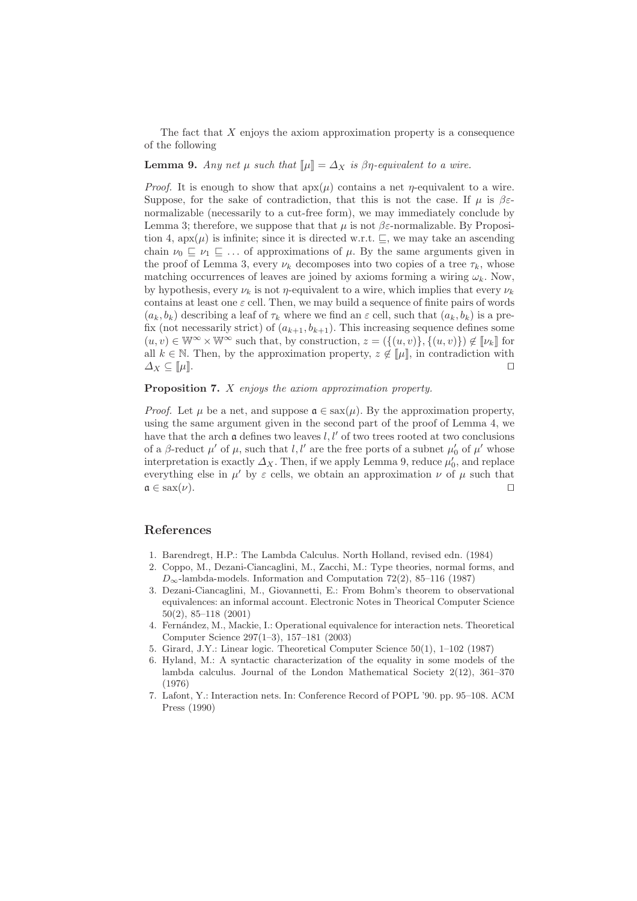The fact that  $X$  enjoys the axiom approximation property is a consequence of the following

#### **Lemma 9.** Any net  $\mu$  such that  $\|\mu\| = \Delta_X$  is  $\beta\eta$ -equivalent to a wire.

*Proof.* It is enough to show that  $apx(\mu)$  contains a net  $\eta$ -equivalent to a wire. Suppose, for the sake of contradiction, that this is not the case. If  $\mu$  is  $\beta \varepsilon$ normalizable (necessarily to a cut-free form), we may immediately conclude by Lemma 3; therefore, we suppose that that  $\mu$  is not  $\beta \varepsilon$ -normalizable. By Proposition 4, apx( $\mu$ ) is infinite; since it is directed w.r.t.  $\sqsubseteq$ , we may take an ascending chain  $\nu_0 \sqsubseteq \nu_1 \sqsubseteq \ldots$  of approximations of  $\mu$ . By the same arguments given in the proof of Lemma 3, every  $\nu_k$  decomposes into two copies of a tree  $\tau_k$ , whose matching occurrences of leaves are joined by axioms forming a wiring  $\omega_k$ . Now, by hypothesis, every  $\nu_k$  is not *η*-equivalent to a wire, which implies that every  $\nu_k$ contains at least one  $\varepsilon$  cell. Then, we may build a sequence of finite pairs of words  $(a_k, b_k)$  describing a leaf of  $\tau_k$  where we find an  $\varepsilon$  cell, such that  $(a_k, b_k)$  is a prefix (not necessarily strict) of  $(a_{k+1}, b_{k+1})$ . This increasing sequence defines some  $(u, v) \in \mathbb{W}^{\infty} \times \mathbb{W}^{\infty}$  such that, by construction,  $z = (\{(u, v)\}, \{(u, v)\}) \notin \llbracket \nu_k \rrbracket$  for all  $k \in \mathbb{N}$ . Then, by the approximation property,  $z \notin [\![\mu]\!]$ , in contradiction with  $\Delta_X \subseteq [\![\mu]\!]$ . □

## Proposition 7. X enjoys the axiom approximation property.

*Proof.* Let  $\mu$  be a net, and suppose  $\mathfrak{a} \in \text{sex}(\mu)$ . By the approximation property, using the same argument given in the second part of the proof of Lemma 4, we have that the arch  $\alpha$  defines two leaves l, l' of two trees rooted at two conclusions of a  $\beta$ -reduct  $\mu'$  of  $\mu$ , such that  $l, l'$  are the free ports of a subnet  $\mu'_{0}$  of  $\mu'$  whose interpretation is exactly  $\Delta_X$ . Then, if we apply Lemma 9, reduce  $\mu'_0$ , and replace everything else in  $\mu'$  by  $\varepsilon$  cells, we obtain an approximation  $\nu$  of  $\mu$  such that  $a \in \text{sax}(\nu)$ . □

# References

- 1. Barendregt, H.P.: The Lambda Calculus. North Holland, revised edn. (1984)
- 2. Coppo, M., Dezani-Ciancaglini, M., Zacchi, M.: Type theories, normal forms, and  $D_{\infty}$ -lambda-models. Information and Computation 72(2), 85–116 (1987)
- 3. Dezani-Ciancaglini, M., Giovannetti, E.: From Bohm's theorem to observational equivalences: an informal account. Electronic Notes in Theorical Computer Science 50(2), 85–118 (2001)
- 4. Fernández, M., Mackie, I.: Operational equivalence for interaction nets. Theoretical Computer Science 297(1–3), 157–181 (2003)
- 5. Girard, J.Y.: Linear logic. Theoretical Computer Science 50(1), 1–102 (1987)
- 6. Hyland, M.: A syntactic characterization of the equality in some models of the lambda calculus. Journal of the London Mathematical Society 2(12), 361–370 (1976)
- 7. Lafont, Y.: Interaction nets. In: Conference Record of POPL '90. pp. 95–108. ACM Press (1990)